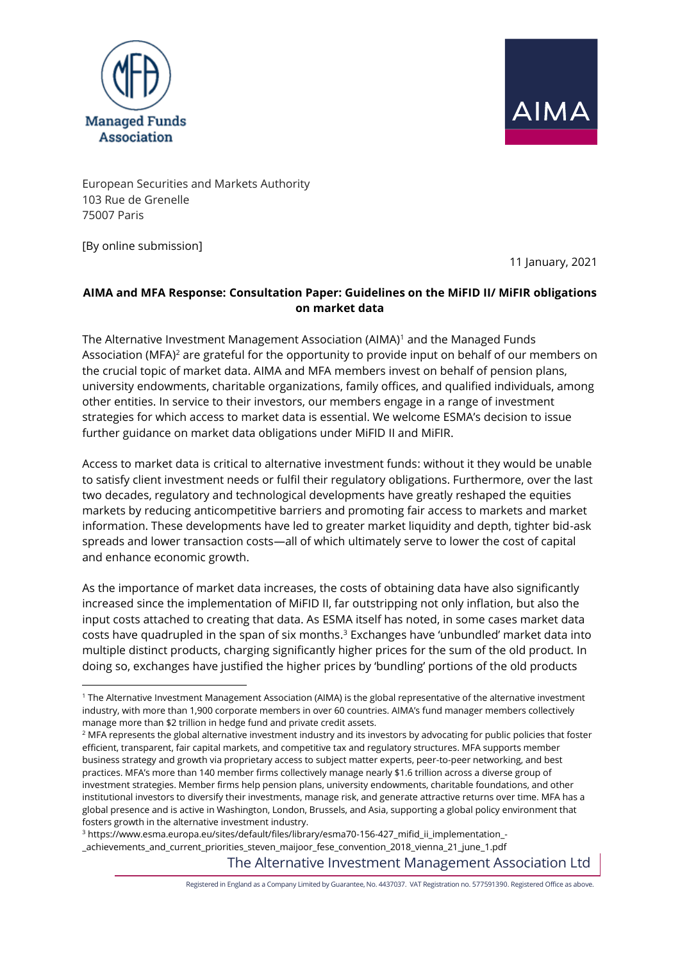



European Securities and Markets Authority 103 Rue de Grenelle 75007 Paris

[By online submission]

11 January, 2021

# **AIMA and MFA Response: Consultation Paper: Guidelines on the MiFID II/ MiFIR obligations on market data**

The Alternative Investment Management Association (AIMA)<sup>1</sup> and the Managed Funds Association (MFA)<sup>2</sup> are grateful for the opportunity to provide input on behalf of our members on the crucial topic of market data. AIMA and MFA members invest on behalf of pension plans, university endowments, charitable organizations, family offices, and qualified individuals, among other entities. In service to their investors, our members engage in a range of investment strategies for which access to market data is essential. We welcome ESMA's decision to issue further guidance on market data obligations under MiFID II and MiFIR.

Access to market data is critical to alternative investment funds: without it they would be unable to satisfy client investment needs or fulfil their regulatory obligations. Furthermore, over the last two decades, regulatory and technological developments have greatly reshaped the equities markets by reducing anticompetitive barriers and promoting fair access to markets and market information. These developments have led to greater market liquidity and depth, tighter bid-ask spreads and lower transaction costs—all of which ultimately serve to lower the cost of capital and enhance economic growth.

As the importance of market data increases, the costs of obtaining data have also significantly increased since the implementation of MiFID II, far outstripping not only inflation, but also the input costs attached to creating that data. As ESMA itself has noted, in some cases market data costs have quadrupled in the span of six months. $3$  Exchanges have 'unbundled' market data into multiple distinct products, charging significantly higher prices for the sum of the old product. In doing so, exchanges have justified the higher prices by 'bundling' portions of the old products

<sup>3</sup> https://www.esma.europa.eu/sites/default/files/library/esma70-156-427\_mifid\_ii\_implementation\_- \_achievements\_and\_current\_priorities\_steven\_maijoor\_fese\_convention\_2018\_vienna\_21\_june\_1.pdf

The Alternative Investment Management Association Ltd

Registered in England as a Company Limited by Guarantee, No. 4437037. VAT Registration no. 577591390. Registered Office as above.

<sup>1</sup> The Alternative Investment Management Association (AIMA) is the global representative of the alternative investment industry, with more than 1,900 corporate members in over 60 countries. AIMA's fund manager members collectively manage more than \$2 trillion in hedge fund and private credit assets.

<sup>&</sup>lt;sup>2</sup> MFA represents the global alternative investment industry and its investors by advocating for public policies that foster efficient, transparent, fair capital markets, and competitive tax and regulatory structures. MFA supports member business strategy and growth via proprietary access to subject matter experts, peer-to-peer networking, and best practices. MFA's more than 140 member firms collectively manage nearly \$1.6 trillion across a diverse group of investment strategies. Member firms help pension plans, university endowments, charitable foundations, and other institutional investors to diversify their investments, manage risk, and generate attractive returns over time. MFA has a global presence and is active in Washington, London, Brussels, and Asia, supporting a global policy environment that fosters growth in the alternative investment industry.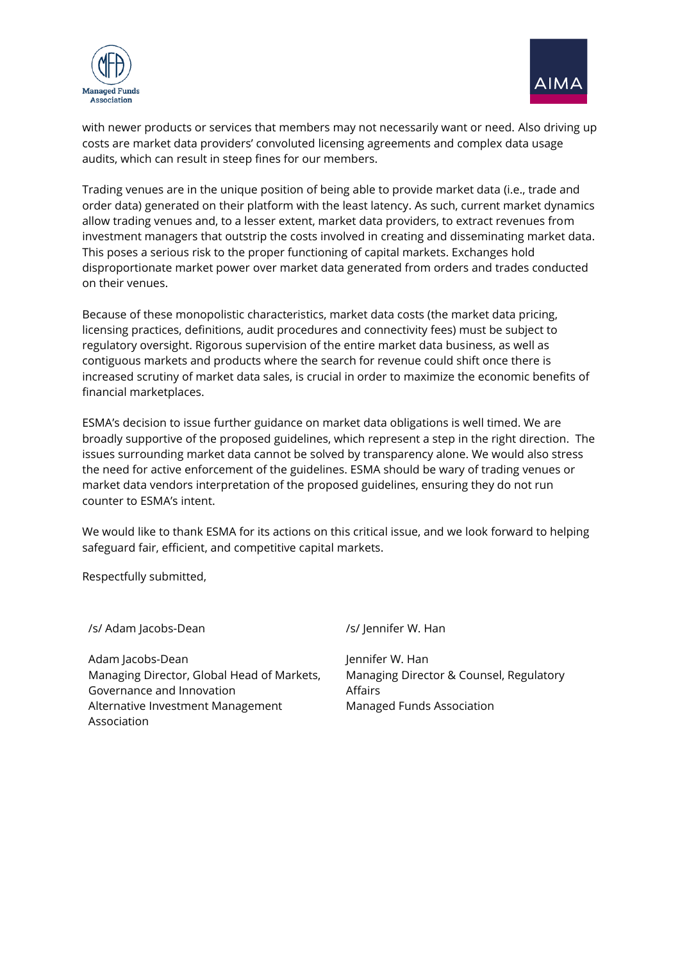



with newer products or services that members may not necessarily want or need. Also driving up costs are market data providers' convoluted licensing agreements and complex data usage audits, which can result in steep fines for our members.

Trading venues are in the unique position of being able to provide market data (i.e., trade and order data) generated on their platform with the least latency. As such, current market dynamics allow trading venues and, to a lesser extent, market data providers, to extract revenues from investment managers that outstrip the costs involved in creating and disseminating market data. This poses a serious risk to the proper functioning of capital markets. Exchanges hold disproportionate market power over market data generated from orders and trades conducted on their venues.

Because of these monopolistic characteristics, market data costs (the market data pricing, licensing practices, definitions, audit procedures and connectivity fees) must be subject to regulatory oversight. Rigorous supervision of the entire market data business, as well as contiguous markets and products where the search for revenue could shift once there is increased scrutiny of market data sales, is crucial in order to maximize the economic benefits of financial marketplaces.

ESMA's decision to issue further guidance on market data obligations is well timed. We are broadly supportive of the proposed guidelines, which represent a step in the right direction. The issues surrounding market data cannot be solved by transparency alone. We would also stress the need for active enforcement of the guidelines. ESMA should be wary of trading venues or market data vendors interpretation of the proposed guidelines, ensuring they do not run counter to ESMA's intent.

We would like to thank ESMA for its actions on this critical issue, and we look forward to helping safeguard fair, efficient, and competitive capital markets.

Respectfully submitted,

/s/ Adam Jacobs-Dean /s/ Jennifer W. Han Adam Jacobs-Dean Managing Director, Global Head of Markets, Governance and Innovation Alternative Investment Management Association Jennifer W. Han Managing Director & Counsel, Regulatory Affairs Managed Funds Association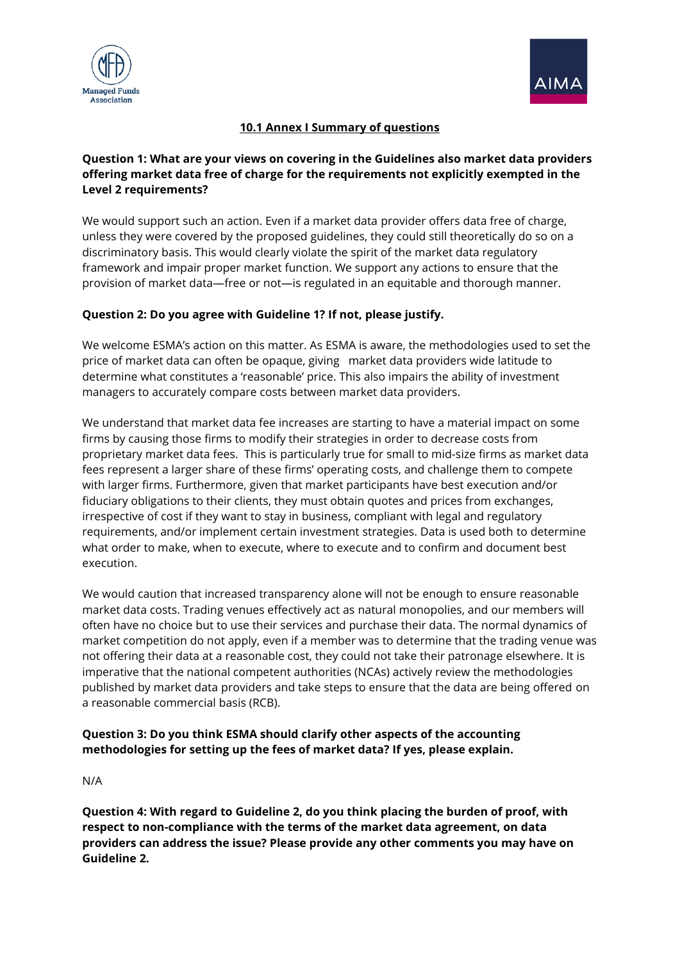



### **10.1 Annex I Summary of questions**

### **Question 1: What are your views on covering in the Guidelines also market data providers offering market data free of charge for the requirements not explicitly exempted in the Level 2 requirements?**

We would support such an action. Even if a market data provider offers data free of charge, unless they were covered by the proposed guidelines, they could still theoretically do so on a discriminatory basis. This would clearly violate the spirit of the market data regulatory framework and impair proper market function. We support any actions to ensure that the provision of market data—free or not—is regulated in an equitable and thorough manner.

#### **Question 2: Do you agree with Guideline 1? If not, please justify.**

We welcome ESMA's action on this matter. As ESMA is aware, the methodologies used to set the price of market data can often be opaque, giving market data providers wide latitude to determine what constitutes a 'reasonable' price. This also impairs the ability of investment managers to accurately compare costs between market data providers.

We understand that market data fee increases are starting to have a material impact on some firms by causing those firms to modify their strategies in order to decrease costs from proprietary market data fees. This is particularly true for small to mid-size firms as market data fees represent a larger share of these firms' operating costs, and challenge them to compete with larger firms. Furthermore, given that market participants have best execution and/or fiduciary obligations to their clients, they must obtain quotes and prices from exchanges, irrespective of cost if they want to stay in business, compliant with legal and regulatory requirements, and/or implement certain investment strategies. Data is used both to determine what order to make, when to execute, where to execute and to confirm and document best execution.

We would caution that increased transparency alone will not be enough to ensure reasonable market data costs. Trading venues effectively act as natural monopolies, and our members will often have no choice but to use their services and purchase their data. The normal dynamics of market competition do not apply, even if a member was to determine that the trading venue was not offering their data at a reasonable cost, they could not take their patronage elsewhere. It is imperative that the national competent authorities (NCAs) actively review the methodologies published by market data providers and take steps to ensure that the data are being offered on a reasonable commercial basis (RCB).

### **Question 3: Do you think ESMA should clarify other aspects of the accounting methodologies for setting up the fees of market data? If yes, please explain.**

N/A

**Question 4: With regard to Guideline 2, do you think placing the burden of proof, with respect to non-compliance with the terms of the market data agreement, on data providers can address the issue? Please provide any other comments you may have on Guideline 2.**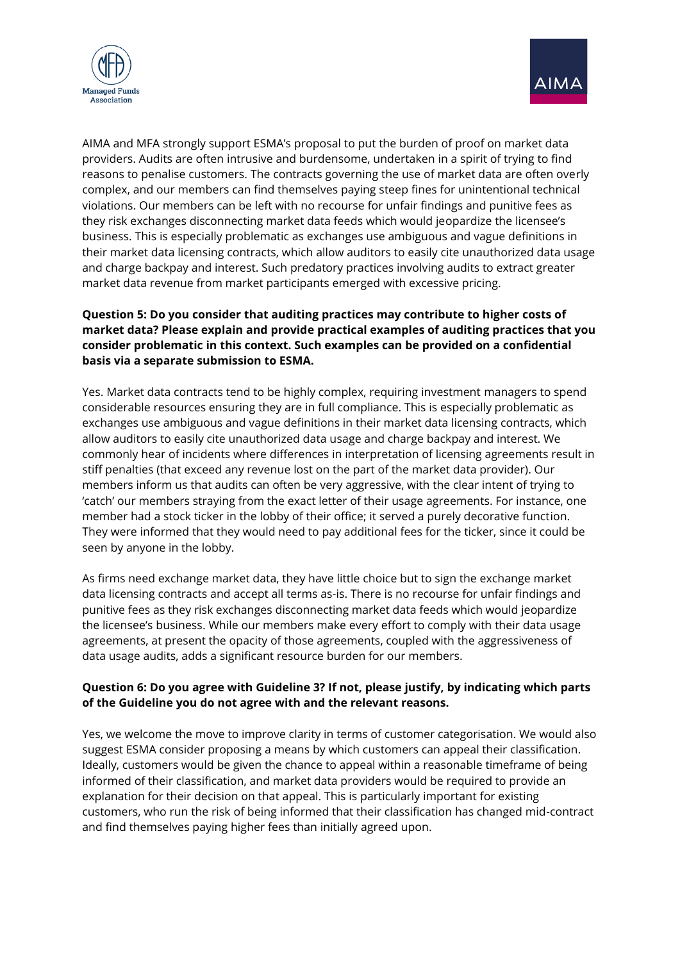



AIMA and MFA strongly support ESMA's proposal to put the burden of proof on market data providers. Audits are often intrusive and burdensome, undertaken in a spirit of trying to find reasons to penalise customers. The contracts governing the use of market data are often overly complex, and our members can find themselves paying steep fines for unintentional technical violations. Our members can be left with no recourse for unfair findings and punitive fees as they risk exchanges disconnecting market data feeds which would jeopardize the licensee's business. This is especially problematic as exchanges use ambiguous and vague definitions in their market data licensing contracts, which allow auditors to easily cite unauthorized data usage and charge backpay and interest. Such predatory practices involving audits to extract greater market data revenue from market participants emerged with excessive pricing.

# **Question 5: Do you consider that auditing practices may contribute to higher costs of market data? Please explain and provide practical examples of auditing practices that you consider problematic in this context. Such examples can be provided on a confidential basis via a separate submission to ESMA.**

Yes. Market data contracts tend to be highly complex, requiring investment managers to spend considerable resources ensuring they are in full compliance. This is especially problematic as exchanges use ambiguous and vague definitions in their market data licensing contracts, which allow auditors to easily cite unauthorized data usage and charge backpay and interest. We commonly hear of incidents where differences in interpretation of licensing agreements result in stiff penalties (that exceed any revenue lost on the part of the market data provider). Our members inform us that audits can often be very aggressive, with the clear intent of trying to 'catch' our members straying from the exact letter of their usage agreements. For instance, one member had a stock ticker in the lobby of their office; it served a purely decorative function. They were informed that they would need to pay additional fees for the ticker, since it could be seen by anyone in the lobby.

As firms need exchange market data, they have little choice but to sign the exchange market data licensing contracts and accept all terms as-is. There is no recourse for unfair findings and punitive fees as they risk exchanges disconnecting market data feeds which would jeopardize the licensee's business. While our members make every effort to comply with their data usage agreements, at present the opacity of those agreements, coupled with the aggressiveness of data usage audits, adds a significant resource burden for our members.

#### **Question 6: Do you agree with Guideline 3? If not, please justify, by indicating which parts of the Guideline you do not agree with and the relevant reasons.**

Yes, we welcome the move to improve clarity in terms of customer categorisation. We would also suggest ESMA consider proposing a means by which customers can appeal their classification. Ideally, customers would be given the chance to appeal within a reasonable timeframe of being informed of their classification, and market data providers would be required to provide an explanation for their decision on that appeal. This is particularly important for existing customers, who run the risk of being informed that their classification has changed mid-contract and find themselves paying higher fees than initially agreed upon.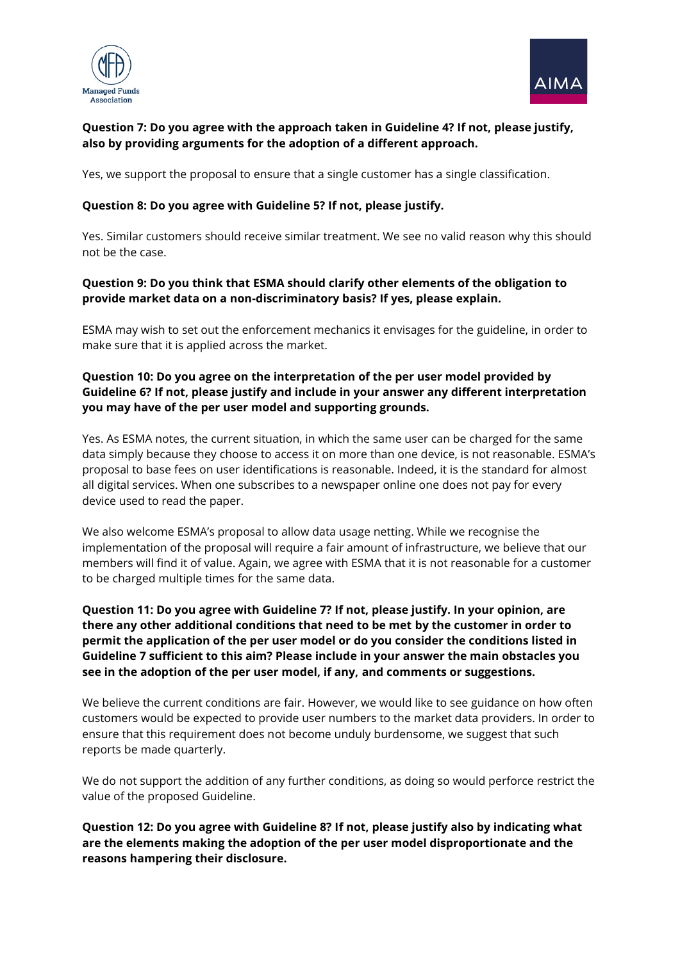



# **Question 7: Do you agree with the approach taken in Guideline 4? If not, please justify, also by providing arguments for the adoption of a different approach.**

Yes, we support the proposal to ensure that a single customer has a single classification.

#### **Question 8: Do you agree with Guideline 5? If not, please justify.**

Yes. Similar customers should receive similar treatment. We see no valid reason why this should not be the case.

#### **Question 9: Do you think that ESMA should clarify other elements of the obligation to provide market data on a non-discriminatory basis? If yes, please explain.**

ESMA may wish to set out the enforcement mechanics it envisages for the guideline, in order to make sure that it is applied across the market.

#### **Question 10: Do you agree on the interpretation of the per user model provided by Guideline 6? If not, please justify and include in your answer any different interpretation you may have of the per user model and supporting grounds.**

Yes. As ESMA notes, the current situation, in which the same user can be charged for the same data simply because they choose to access it on more than one device, is not reasonable. ESMA's proposal to base fees on user identifications is reasonable. Indeed, it is the standard for almost all digital services. When one subscribes to a newspaper online one does not pay for every device used to read the paper.

We also welcome ESMA's proposal to allow data usage netting. While we recognise the implementation of the proposal will require a fair amount of infrastructure, we believe that our members will find it of value. Again, we agree with ESMA that it is not reasonable for a customer to be charged multiple times for the same data.

### **Question 11: Do you agree with Guideline 7? If not, please justify. In your opinion, are there any other additional conditions that need to be met by the customer in order to permit the application of the per user model or do you consider the conditions listed in Guideline 7 sufficient to this aim? Please include in your answer the main obstacles you see in the adoption of the per user model, if any, and comments or suggestions.**

We believe the current conditions are fair. However, we would like to see guidance on how often customers would be expected to provide user numbers to the market data providers. In order to ensure that this requirement does not become unduly burdensome, we suggest that such reports be made quarterly.

We do not support the addition of any further conditions, as doing so would perforce restrict the value of the proposed Guideline.

### **Question 12: Do you agree with Guideline 8? If not, please justify also by indicating what are the elements making the adoption of the per user model disproportionate and the reasons hampering their disclosure.**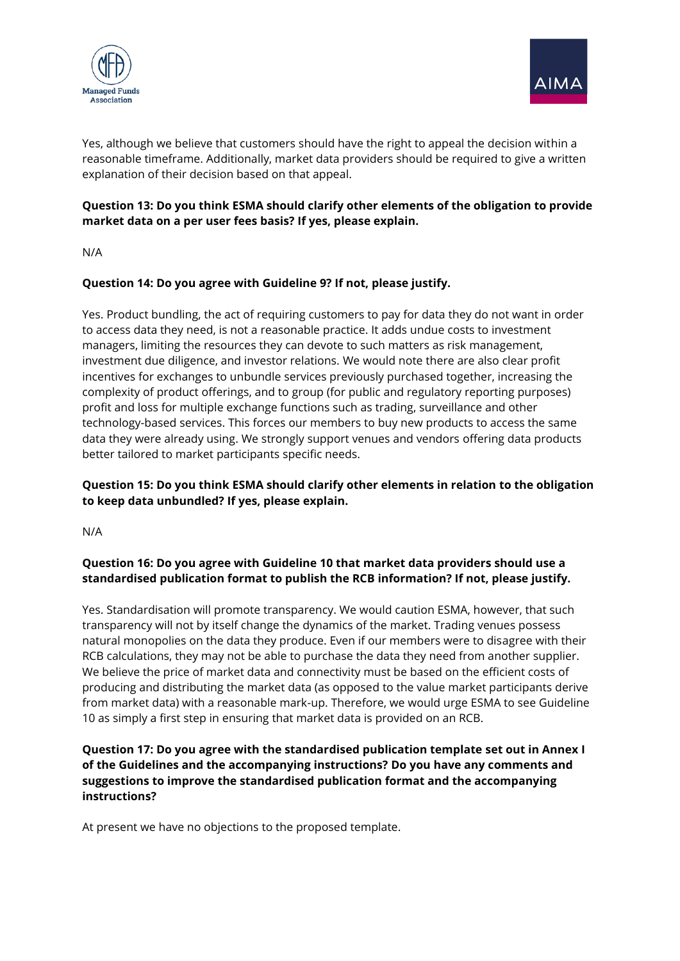



Yes, although we believe that customers should have the right to appeal the decision within a reasonable timeframe. Additionally, market data providers should be required to give a written explanation of their decision based on that appeal.

# **Question 13: Do you think ESMA should clarify other elements of the obligation to provide market data on a per user fees basis? If yes, please explain.**

N/A

#### **Question 14: Do you agree with Guideline 9? If not, please justify.**

Yes. Product bundling, the act of requiring customers to pay for data they do not want in order to access data they need, is not a reasonable practice. It adds undue costs to investment managers, limiting the resources they can devote to such matters as risk management, investment due diligence, and investor relations. We would note there are also clear profit incentives for exchanges to unbundle services previously purchased together, increasing the complexity of product offerings, and to group (for public and regulatory reporting purposes) profit and loss for multiple exchange functions such as trading, surveillance and other technology-based services. This forces our members to buy new products to access the same data they were already using. We strongly support venues and vendors offering data products better tailored to market participants specific needs.

### **Question 15: Do you think ESMA should clarify other elements in relation to the obligation to keep data unbundled? If yes, please explain.**

N/A

### **Question 16: Do you agree with Guideline 10 that market data providers should use a standardised publication format to publish the RCB information? If not, please justify.**

Yes. Standardisation will promote transparency. We would caution ESMA, however, that such transparency will not by itself change the dynamics of the market. Trading venues possess natural monopolies on the data they produce. Even if our members were to disagree with their RCB calculations, they may not be able to purchase the data they need from another supplier. We believe the price of market data and connectivity must be based on the efficient costs of producing and distributing the market data (as opposed to the value market participants derive from market data) with a reasonable mark-up. Therefore, we would urge ESMA to see Guideline 10 as simply a first step in ensuring that market data is provided on an RCB.

### **Question 17: Do you agree with the standardised publication template set out in Annex I of the Guidelines and the accompanying instructions? Do you have any comments and suggestions to improve the standardised publication format and the accompanying instructions?**

At present we have no objections to the proposed template.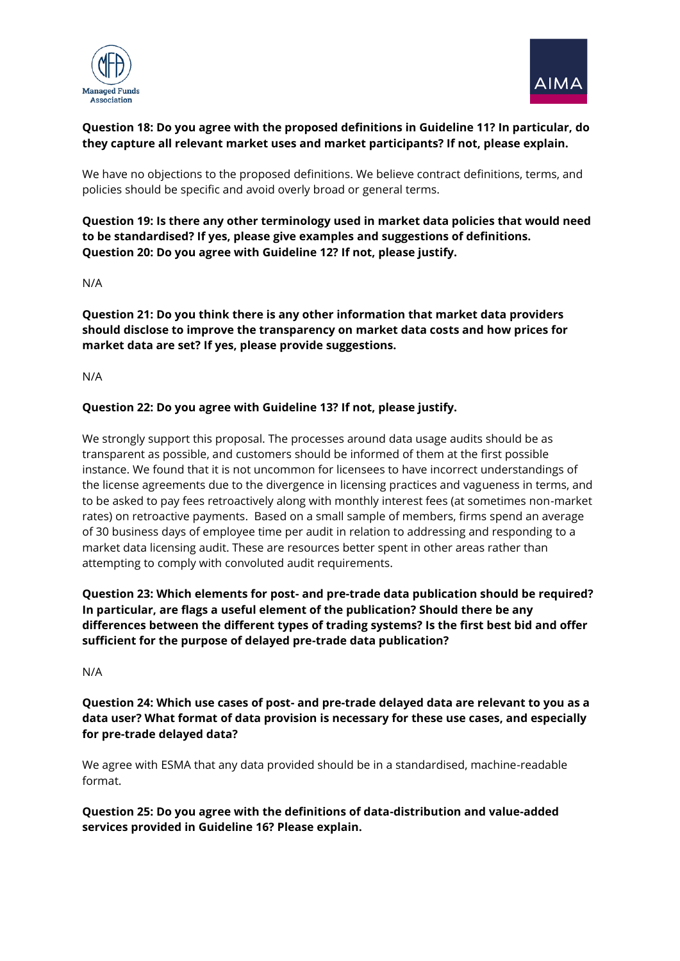



# **Question 18: Do you agree with the proposed definitions in Guideline 11? In particular, do they capture all relevant market uses and market participants? If not, please explain.**

We have no objections to the proposed definitions. We believe contract definitions, terms, and policies should be specific and avoid overly broad or general terms.

**Question 19: Is there any other terminology used in market data policies that would need to be standardised? If yes, please give examples and suggestions of definitions. Question 20: Do you agree with Guideline 12? If not, please justify.** 

N/A

**Question 21: Do you think there is any other information that market data providers should disclose to improve the transparency on market data costs and how prices for market data are set? If yes, please provide suggestions.** 

N/A

### **Question 22: Do you agree with Guideline 13? If not, please justify.**

We strongly support this proposal. The processes around data usage audits should be as transparent as possible, and customers should be informed of them at the first possible instance. We found that it is not uncommon for licensees to have incorrect understandings of the license agreements due to the divergence in licensing practices and vagueness in terms, and to be asked to pay fees retroactively along with monthly interest fees (at sometimes non-market rates) on retroactive payments. Based on a small sample of members, firms spend an average of 30 business days of employee time per audit in relation to addressing and responding to a market data licensing audit. These are resources better spent in other areas rather than attempting to comply with convoluted audit requirements.

**Question 23: Which elements for post- and pre-trade data publication should be required? In particular, are flags a useful element of the publication? Should there be any differences between the different types of trading systems? Is the first best bid and offer sufficient for the purpose of delayed pre-trade data publication?** 

N/A

**Question 24: Which use cases of post- and pre-trade delayed data are relevant to you as a data user? What format of data provision is necessary for these use cases, and especially for pre-trade delayed data?** 

We agree with ESMA that any data provided should be in a standardised, machine-readable format.

**Question 25: Do you agree with the definitions of data-distribution and value-added services provided in Guideline 16? Please explain.**